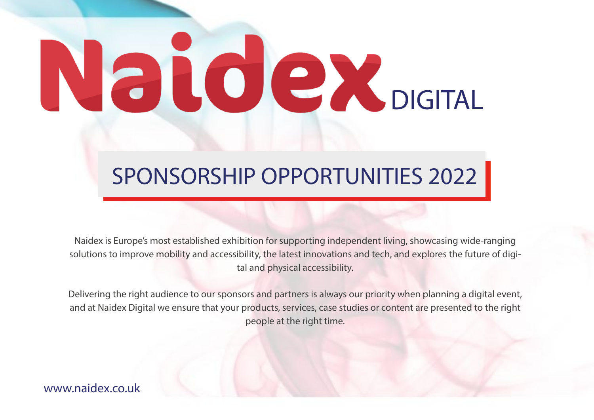# Natolex

# SPONSORSHIP OPPORTUNITIES 2022

Naidex is Europe's most established exhibition for supporting independent living, showcasing wide-ranging solutions to improve mobility and accessibility, the latest innovations and tech, and explores the future of digital and physical accessibility.

Delivering the right audience to our sponsors and partners is always our priority when planning a digital event, and at Naidex Digital we ensure that your products, services, case studies or content are presented to the right people at the right time.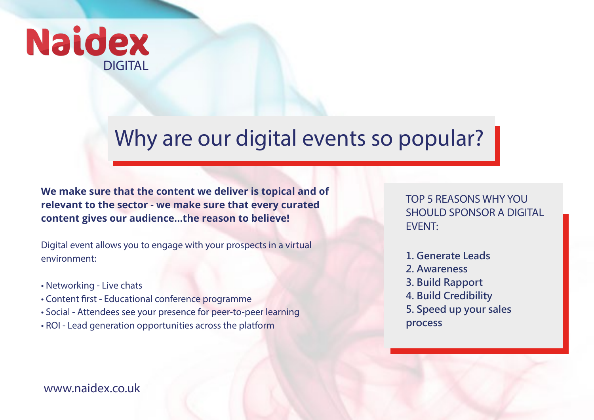

## Why are our digital events so popular?

**We make sure that the content we deliver is topical and of relevant to the sector - we make sure that every curated content gives our audience...the reason to believe!**

Digital event allows you to engage with your prospects in a virtual environment:

- Networking Live chats
- Content first Educational conference programme
- Social Attendees see your presence for peer-to-peer learning
- ROI Lead generation opportunities across the platform

TOP 5 REASONS WHY YOU SHOULD SPONSOR A DIGITAL EVENT:

- **1. Generate Leads**
- **2. Awareness**
- **3. Build Rapport**
- **4. Build Credibility**
- **5. Speed up your sales**
- **process**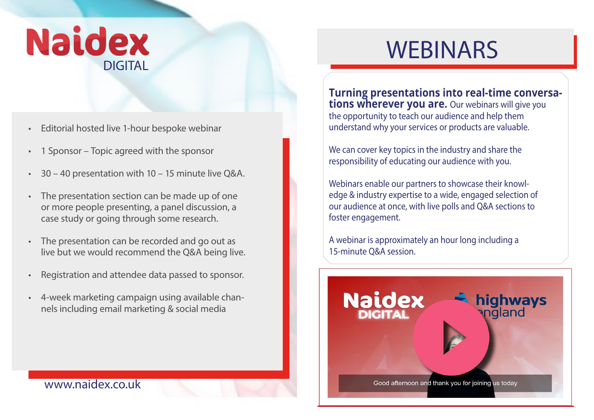

- Editorial hosted live 1-hour bespoke webinar
- 1 Sponsor Topic agreed with the sponsor
- 30 40 presentation with 10 15 minute live Q&A.
- The presentation section can be made up of one or more people presenting, a panel discussion, a case study or going through some research.
- The presentation can be recorded and go out as live but we would recommend the Q&A being live.
- Registration and attendee data passed to sponsor.
- 4-week marketing campaign using available channels including email marketing & social media

## WEBINARS

**Turning presentations into real-time conversations wherever you are.** Our webinars will give you the opportunity to teach our audience and help them understand why your services or products are valuable.

We can cover key topics in the industry and share the responsibility of educating our audience with you.

Webinars enable our partners to showcase their knowledge & industry expertise to a wide, engaged selection of our audience at once, with live polls and Q&A sections to foster engagement.

A webinar is approximately an hour long including a 15-min[ute Q&A session.](https://www.naidex.co.uk/safer-driving-on-englands-motorways)

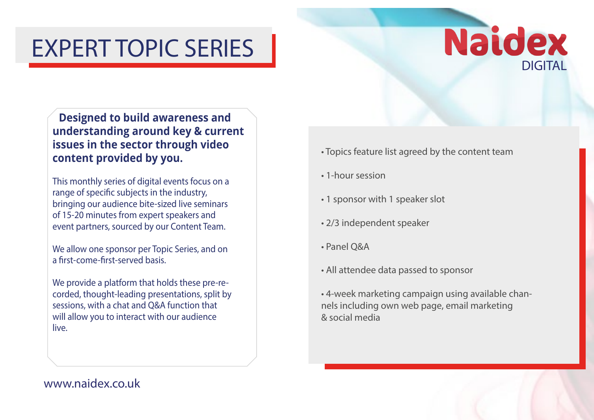# EXPERT TOPIC SERIES

## **Naidex DIGITAL**

**Designed to build awareness and understanding around key & current issues in the sector through video content provided by you.**

This monthly series of digital events focus on a range of specific subjects in the industry, bringing our audience bite-sized live seminars of 15-20 minutes from expert speakers and event partners, sourced by our Content Team.

We allow one sponsor per Topic Series, and on a first-come-first-served basis.

We provide a platform that holds these pre-recorded, thought-leading presentations, split by sessions, with a chat and Q&A function that will allow you to interact with our audience live.

- Topics feature list agreed by the content team
- 1-hour session
- 1 sponsor with 1 speaker slot
- 2/3 independent speaker
- Panel Q&A
- All attendee data passed to sponsor
- 4-week marketing campaign using available channels including own web page, email marketing & social media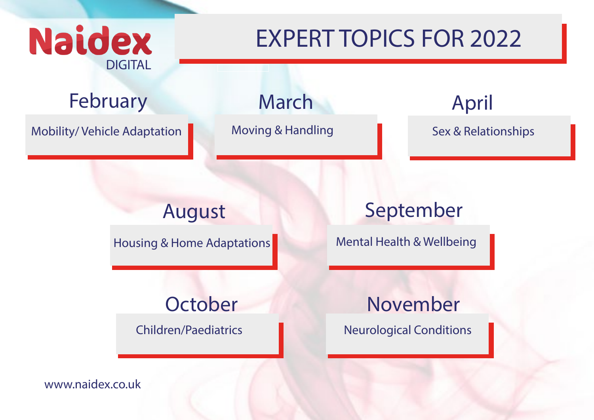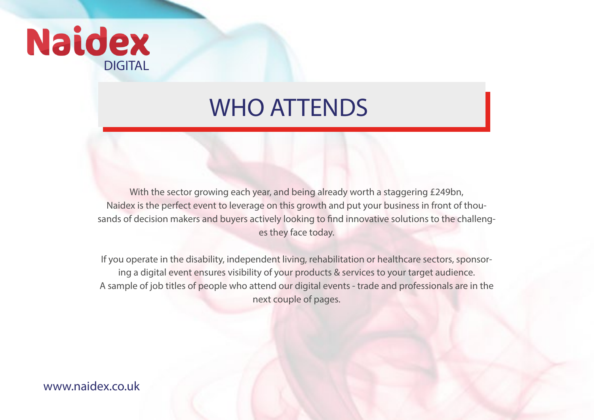

## WHO ATTENDS

With the sector growing each year, and being already worth a staggering £249bn, Naidex is the perfect event to leverage on this growth and put your business in front of thousands of decision makers and buyers actively looking to find innovative solutions to the challenges they face today.

If you operate in the disability, independent living, rehabilitation or healthcare sectors, sponsoring a digital event ensures visibility of your products & services to your target audience. A sample of job titles of people who attend our digital events - trade and professionals are in the next couple of pages.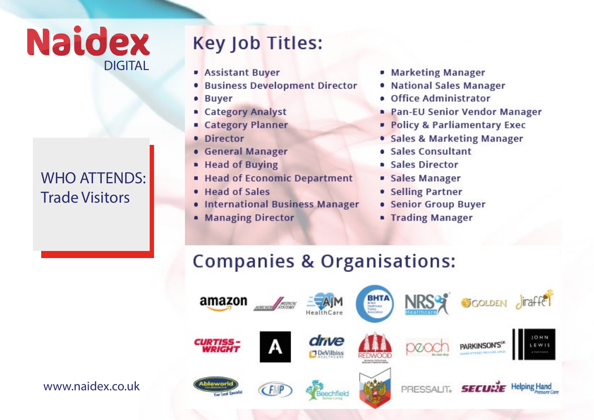## **Naidex DIGITAL**

#### **WHO ATTENDS: Trade Visitors**

## Key Job Titles:

- **Assistant Buyer**
- **Business Development Director**
- **Buyer**
- Category Analyst
- Category Planner
- **Director**
- **General Manager**
- Head of Buying
- **Head of Economic Department**
- Head of Sales
- International Business Manager
- Managing Director
- Marketing Manager
- . National Sales Manager
- . Office Administrator
- **Pan-EU Senior Vendor Manager**
- Policy & Parliamentary Exec
- Sales & Marketing Manager
- **Sales Consultant**
- **Sales Director**
- Sales Manager
- Selling Partner
- Senior Group Buyer
- **Trading Manager**

### **Companies & Organisations:**

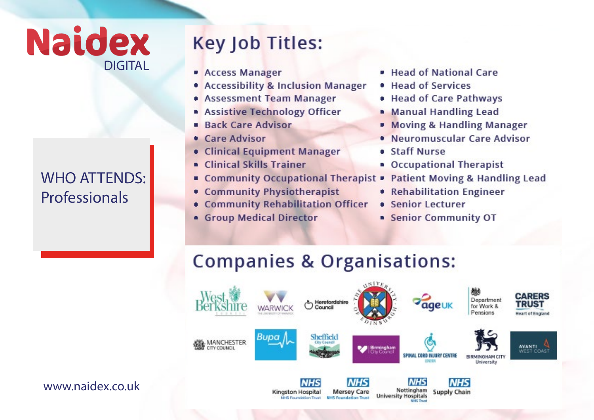## **Naidex DIGITAL**

#### **WHO ATTENDS:** Professionals

## **Key Job Titles:**

- **Access Manager**
- Accessibility & Inclusion Manager
- **Assessment Team Manager**
- Assistive Technology Officer
- **Back Care Advisor** п
- Care Advisor
- **Clinical Equipment Manager**
- **Clinical Skills Trainer** п
- Community Occupational Therapist п
- **Community Physiotherapist**
- Community Rehabilitation Officer
- **Group Medical Director**
- **Head of National Care**
- · Head of Services
- Head of Care Pathways
- **Manual Handling Lead**
- **Moving & Handling Manager**
- Neuromuscular Care Advisor
- **Staff Nurse**
- Occupational Therapist
- **Patient Moving & Handling Lead**
- Rehabilitation Engineer
- **Senior Lecturer**
- **Senior Community OT**

## **Companies & Organisations:**